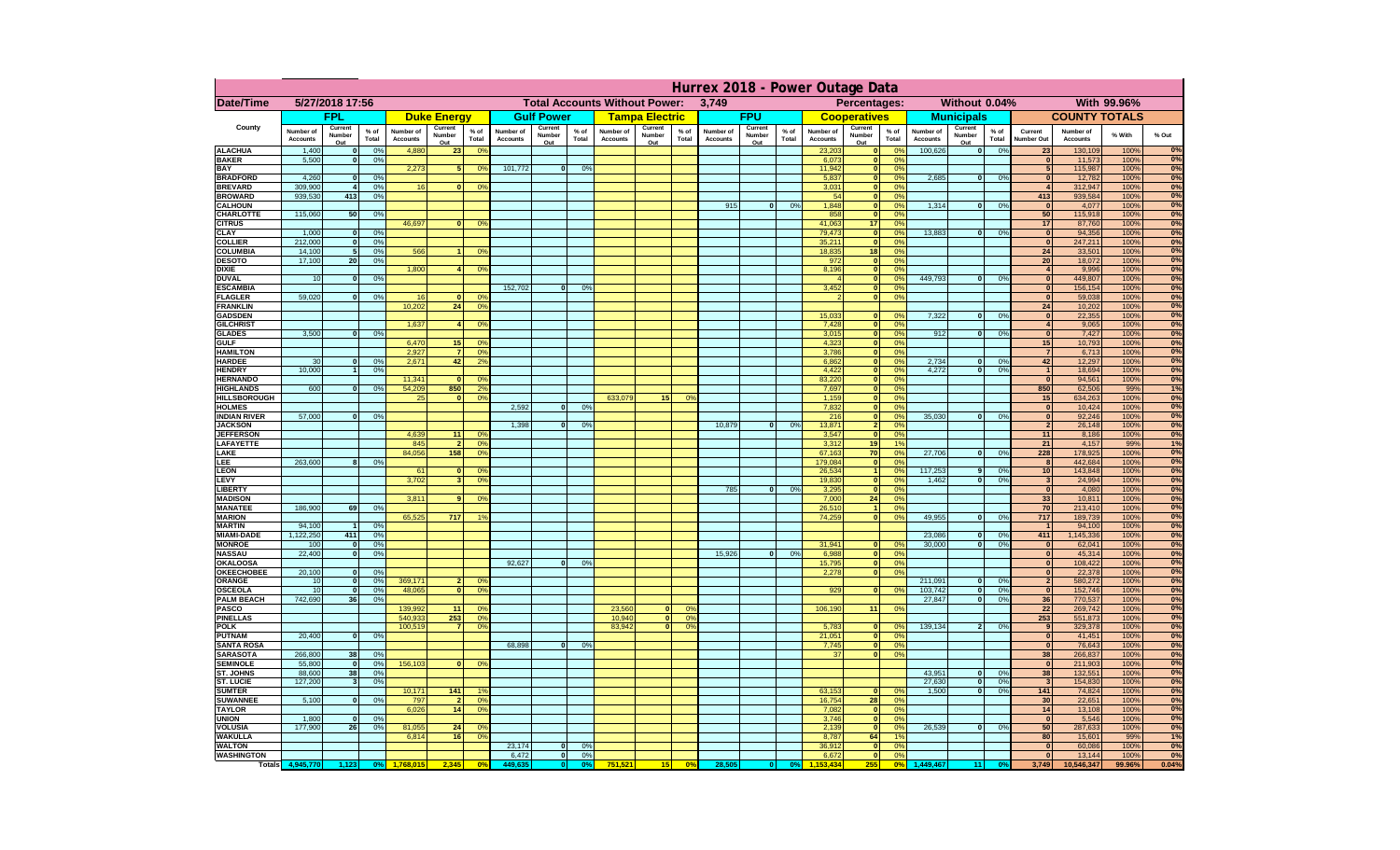|                                       | Hurrex 2018 - Power Outage Data |                         |                 |                              |                                               |                                  |                              |                          |                               |                              |                       |                       |                              |                   |                 |                                 |                              |                                                      |                              |                                           |                                |                              |              |                        |
|---------------------------------------|---------------------------------|-------------------------|-----------------|------------------------------|-----------------------------------------------|----------------------------------|------------------------------|--------------------------|-------------------------------|------------------------------|-----------------------|-----------------------|------------------------------|-------------------|-----------------|---------------------------------|------------------------------|------------------------------------------------------|------------------------------|-------------------------------------------|--------------------------------|------------------------------|--------------|------------------------|
| Date/Time                             | 5/27/2018 17:56                 |                         |                 |                              | <b>Total Accounts Without Power:</b><br>3,749 |                                  |                              |                          | Without 0.04%<br>Percentages: |                              |                       |                       |                              |                   | With 99.96%     |                                 |                              |                                                      |                              |                                           |                                |                              |              |                        |
|                                       |                                 | <b>FPL</b>              |                 |                              | <b>Duke Energy</b>                            |                                  |                              | <b>Gulf Power</b>        |                               |                              | <b>Tampa Electric</b> |                       |                              | <b>FPU</b>        |                 |                                 | <b>Cooperatives</b>          |                                                      |                              | <b>Municipals</b>                         |                                | <b>COUNTY TOTALS</b>         |              |                        |
| County                                | Number of<br><b>Accounts</b>    | Current<br>Number       | $%$ of<br>Total | Number of<br><b>Accounts</b> | Current<br>Number                             | $%$ of<br>Total                  | Number of<br><b>Accounts</b> | Current<br><b>Number</b> | $%$ of<br>Total               | Number of<br><b>Accounts</b> | Current<br>Number     | % of<br>Total         | Number of<br><b>Accounts</b> | Current<br>Number | $%$ of<br>Total | Number of<br><b>Accounts</b>    | Current<br>Number            | $%$ of<br>Total                                      | Number of<br><b>Accounts</b> | Current<br>% of<br><b>Number</b><br>Total | Current<br><b>Number Out</b>   | Number of<br><b>Accounts</b> | % With       | % Out                  |
| <b>ALACHUA</b>                        | 1,400                           | Out<br>$\bf{0}$         | 0%              | 4,880                        | Out<br>23                                     | 0 <sup>9</sup>                   |                              | Out                      |                               |                              | Out                   |                       |                              | Out               |                 | 23,203                          | Out                          | 0 <sup>6</sup>                                       | 100,626                      | Out<br>0%<br>$\bf{0}$                     | 2:                             | 130,109                      | 100%         | 0%                     |
| <b>BAKER</b>                          | 5,500                           | $\bf{0}$                | 0%              |                              |                                               |                                  |                              |                          |                               |                              |                       |                       |                              |                   |                 | 6,073                           | O                            | 0 <sup>o</sup>                                       |                              |                                           | $\mathbf{0}$                   | 11,573                       | 100%         | 0%                     |
| BAY<br><b>BRADFORD</b>                | 4,260                           | $\mathbf{0}$            | 0%              | 2,273                        | 5                                             | 0 <sup>9</sup>                   | 101,772                      | $\Omega$                 | 0%                            |                              |                       |                       |                              |                   |                 | 11,942<br>5,837                 |                              | 0 <sup>o</sup><br>0 <sup>9</sup>                     | 2,685                        | 0%<br>$\bf{0}$                            |                                | 115,987<br>12,782            | 100%<br>100% | 0%<br>$\overline{0\%}$ |
| <b>BREVARD</b>                        | 309,900                         |                         | 0%              | 16                           |                                               | 0%                               |                              |                          |                               |                              |                       |                       |                              |                   |                 | 3,031                           | $\mathbf{0}$                 | 0 <sup>9</sup>                                       |                              |                                           |                                | 312,947                      | 100%         | 0%                     |
| <b>BROWARD</b>                        | 939,530                         | 413                     | 0%              |                              |                                               |                                  |                              |                          |                               |                              |                       |                       |                              |                   |                 | 54                              | $\bf{0}$                     | 0 <sup>9</sup>                                       |                              |                                           | 413                            | 939,584                      | 100%         | 0%                     |
| <b>CALHOUN</b><br><b>CHARLOTTE</b>    | 115,060                         | 50                      | 0%              |                              |                                               |                                  |                              |                          |                               |                              |                       |                       | 915                          | $\mathbf{0}$      | 0%              | 1,848<br>858                    | $\mathbf{0}$<br>$\bf{0}$     | 0 <sup>9</sup><br>0 <sup>9</sup>                     | 1,314                        | $\mathbf{0}$<br>0%                        | $\mathbf{0}$<br>50             | 4,077<br>115,918             | 100%<br>100% | 0%<br>0%               |
| <b>CITRUS</b>                         |                                 |                         |                 | 46,697                       |                                               | 0 <sup>9</sup>                   |                              |                          |                               |                              |                       |                       |                              |                   |                 | 41,063                          | 17                           | 0 <sup>9</sup>                                       |                              |                                           | 17                             | 87,760                       | 100%         | 0%                     |
| <b>CLAY</b><br><b>COLLIER</b>         | 1,000<br>212,000                | $\bf{0}$                | 0%<br>0%        |                              |                                               |                                  |                              |                          |                               |                              |                       |                       |                              |                   |                 | 79,473<br>35,211                | $\mathbf{0}$<br>$\mathbf{0}$ | 0 <sup>9</sup><br>0%                                 | 13,883                       | 0%<br>$\mathbf{0}$                        | $\overline{\mathbf{0}}$        | 94,356<br>247,211            | 100%<br>100% | 0%<br>0%               |
| COLUMBIA                              | 14,100                          | 0 <br>5 <sub>1</sub>    | 0%              | 566                          |                                               | 0 <sup>9</sup>                   |                              |                          |                               |                              |                       |                       |                              |                   |                 | 18,835                          | 18                           | 0%                                                   |                              |                                           | $\mathbf{0}$<br>24             | 33,501                       | 100%         | 0%                     |
| <b>DESOTO</b>                         | 17,100                          | 20                      | 0%              |                              |                                               |                                  |                              |                          |                               |                              |                       |                       |                              |                   |                 | 972                             |                              | 0 <br>0%                                             |                              |                                           | 20                             | 18,072                       | 100%         | 0%                     |
| <b>DIXIE</b><br><b>DUVAL</b>          | 10                              | 0                       | 0%              | 1,800                        | $\mathbf{A}$                                  | 0 <sup>9</sup>                   |                              |                          |                               |                              |                       |                       |                              |                   |                 | 8,196<br>$\boldsymbol{\Lambda}$ |                              | 0 <br>0%<br> 0 <br>0%                                | 449.793                      | 0%<br>$\bf{0}$                            | $\overline{4}$<br>$\mathbf{0}$ | 9,996<br>449,807             | 100%<br>100% | 0%<br>0%               |
| <b>ESCAMBIA</b>                       |                                 |                         |                 |                              |                                               |                                  | 152.702                      | $\mathbf{0}$             | 0 <sup>9</sup>                |                              |                       |                       |                              |                   |                 | 3,452                           |                              | 0 <br>0 <sup>9</sup>                                 |                              |                                           | $\mathbf{0}$                   | 156,154                      | 100%         | 0%                     |
| <b>FLAGLER</b>                        | 59,020                          | $\mathbf{0}$            | 0 <sup>9</sup>  | 16                           | $\Omega$                                      | 0 <sup>9</sup>                   |                              |                          |                               |                              |                       |                       |                              |                   |                 | $\mathcal{P}$                   |                              | 0 <sup>9</sup><br>$\mathbf{0}$                       |                              |                                           | $\mathbf{0}$                   | 59,038                       | 100%         | 0%                     |
| <b>FRANKLIN</b><br><b>GADSDEN</b>     |                                 |                         |                 | 10.202                       | 24                                            | 0 <sup>9</sup>                   |                              |                          |                               |                              |                       |                       |                              |                   |                 | 15,033                          | $\bf{0}$                     | 0 <sup>9</sup>                                       | 7,322                        | 0%<br>$\Omega$                            | 24<br>$\bullet$                | 10,202<br>22,355             | 100%<br>100% | 0%<br>0%               |
| <b>GILCHRIST</b>                      |                                 |                         |                 | 1,637                        |                                               | 0 <sup>9</sup>                   |                              |                          |                               |                              |                       |                       |                              |                   |                 | 7,428                           |                              | $\mathbf{0}$<br>0 <sup>9</sup>                       |                              |                                           | $\overline{4}$                 | 9,065                        | 100%         | 0%                     |
| <b>GLADES</b>                         | 3,500                           | $\Omega$                | 0%              |                              |                                               |                                  |                              |                          |                               |                              |                       |                       |                              |                   |                 | 3,015                           |                              | $\overline{0}$<br>0 <sup>9</sup>                     | 912                          | 0%<br>$\mathbf{0}$                        | $\bullet$                      | 7,427                        | 100%         | 0%                     |
| <b>GULF</b><br><b>HAMILTON</b>        |                                 |                         |                 | 6,470<br>2.927               | 15<br>$\overline{7}$                          | 0 <sup>9</sup><br>0 <sup>9</sup> |                              |                          |                               |                              |                       |                       |                              |                   |                 | 4,323<br>3.786                  |                              | $\mathbf{0}$<br>0 <sup>9</sup><br>$\mathbf{0}$<br>0% |                              |                                           | 15<br>$\overline{7}$           | 10,793<br>6,713              | 100%<br>100% | 0%<br>0%               |
| <b>HARDEE</b>                         | 30                              | 0 <sup>l</sup>          | 0%              | 2.671                        | 42                                            | 2 <sup>9</sup>                   |                              |                          |                               |                              |                       |                       |                              |                   |                 | 6,862                           |                              | $\mathbf{0}$<br>0%                                   | 2.734                        | 0%<br>$\mathbf{0}$                        | 42                             | 12,297                       | 100%         | 0%                     |
| <b>HENDRY</b>                         | 10,000                          | $\mathbf{1}$            | 0%              |                              |                                               |                                  |                              |                          |                               |                              |                       |                       |                              |                   |                 | 4,422                           |                              | $\mathbf{0}$<br>0%                                   | 4,272                        | $\mathbf{0}$<br>0%                        | $\overline{1}$                 | 18,694                       | 100%         | 0%                     |
| <b>HERNANDO</b><br><b>HIGHLANDS</b>   | 600                             |                         | 0%              | 11.341<br>54.209             | 850                                           | 0 <sup>9</sup><br>2 <sup>o</sup> |                              |                          |                               |                              |                       |                       |                              |                   |                 | 83.220<br>7.697                 |                              | 0%<br>$\mathbf{0}$<br>$\mathbf{0}$<br>0%             |                              |                                           | $\mathbf{0}$<br>850            | 94,561<br>62,506             | 100%<br>99%  | 0%<br>1%               |
| <b>HILLSBOROUGH</b>                   |                                 |                         |                 | 25                           | $\mathbf{0}$                                  | 0%                               |                              |                          |                               | 633,079                      | 15                    | $^{\circ}$            |                              |                   |                 | 1,159                           |                              | $\mathbf{0}$<br>0%                                   |                              |                                           | 15                             | 634,263                      | 100%         | 0%                     |
| <b>HOLMES</b>                         |                                 |                         |                 |                              |                                               |                                  | 2,592                        | 0I                       | 0%                            |                              |                       |                       |                              |                   |                 | 7,832                           |                              | 0%<br>$\mathbf{0}$                                   |                              |                                           | $\mathbf{0}$                   | 10,424                       | 100%         | 0%                     |
| <b>INDIAN RIVER</b><br><b>JACKSON</b> | 57,000                          | $\Omega$                | 0%              |                              |                                               |                                  | 1,398                        | οI                       | 0%                            |                              |                       |                       | 10,879                       | $\mathbf{0}$      | 0%              | 216<br>13,871                   |                              | $\mathbf{0}$<br>0%<br>0%<br>$\overline{2}$           | 35.030                       | $\Omega$<br>0%                            | 0 <br>$\overline{2}$           | 92,246<br>26,148             | 100%<br>100% | 0%<br>0%               |
| <b>JEFFERSON</b>                      |                                 |                         |                 | 4,639                        | 11                                            | 0 <sup>9</sup>                   |                              |                          |                               |                              |                       |                       |                              |                   |                 | 3,547                           |                              | 0%<br>$\mathbf{0}$                                   |                              |                                           | 11                             | 8,186                        | 100%         | 0%                     |
| LAFAYETTE                             |                                 |                         |                 | 845                          | $\overline{2}$                                | 0 <sup>9</sup>                   |                              |                          |                               |                              |                       |                       |                              |                   |                 | 3,312                           | 19 <sup>1</sup>              | 1%                                                   |                              |                                           | 21                             | 4,157                        | 99%          | 1%                     |
| LAKE<br>LEE                           | 263,600                         | 8                       | 0%              | 84,056                       | 158                                           | 0 <sup>9</sup>                   |                              |                          |                               |                              |                       |                       |                              |                   |                 | 67,163<br>179,084               | 70                           | 0%<br>0%<br> 0                                       | 27,706                       | 0%<br>$\bf{0}$                            | 228<br>8                       | 178,925<br>442,684           | 100%<br>100% | 0%<br>0%               |
| <b>LEON</b>                           |                                 |                         |                 | 61                           |                                               | 0%                               |                              |                          |                               |                              |                       |                       |                              |                   |                 | 26,534                          |                              | 0%<br>$\blacksquare$                                 | 117,253                      | 9<br>0%                                   | 10 <sup>1</sup>                | 143,848                      | 100%         | 0%                     |
| LEVY                                  |                                 |                         |                 | 3,702                        |                                               | 0 <sup>9</sup>                   |                              |                          |                               |                              |                       |                       |                              |                   |                 | 19,830                          |                              | 0 <br>0 <sup>9</sup>                                 | 1,462                        | $\mathbf{0}$<br>0%                        | $\mathbf{3}$                   | 24,994                       | 100%         | 0%                     |
| <b>LIBERTY</b><br><b>MADISON</b>      |                                 |                         |                 | 3,811                        |                                               | 0 <sup>9</sup>                   |                              |                          |                               |                              |                       |                       | 785                          | $\mathbf{0}$      | 0%              | 3,295<br>7,000                  | $\Omega$<br>24               | 0%<br>0%                                             |                              |                                           | $\mathbf{0}$<br>33             | 4,080<br>10,811              | 100%<br>100% | 0%<br>0%               |
| <b>MANATEE</b>                        | 186,900                         | 69                      | 0%              |                              |                                               |                                  |                              |                          |                               |                              |                       |                       |                              |                   |                 | 26,510                          |                              | $\vert$ 1<br>0%                                      |                              |                                           | 70                             | 213,410                      | 100%         | 0%                     |
| <b>MARION</b>                         |                                 |                         |                 | 65,525                       | 717                                           | 1 <sup>c</sup>                   |                              |                          |                               |                              |                       |                       |                              |                   |                 | 74,259                          |                              | 0 <br>0%                                             | 49,955                       | 0%<br>$\Omega$                            | 717                            | 189,739                      | 100%         | 0%                     |
| <b>MARTIN</b><br><b>MIAMI-DADE</b>    | 94,100<br>1,122,250             | $\vert$ 1<br>411        | 0%<br>0%        |                              |                                               |                                  |                              |                          |                               |                              |                       |                       |                              |                   |                 |                                 |                              |                                                      | 23,086                       | 0 <br>0%                                  | $\overline{1}$<br>411          | 94,100<br>1,145,336          | 100%<br>100% | 0%<br>0%               |
| <b>MONROE</b>                         | 100                             | - O I                   | 0%              |                              |                                               |                                  |                              |                          |                               |                              |                       |                       |                              |                   |                 | 31,941                          | $\Omega$                     | 0%                                                   | 30,000                       | 0%<br> 0                                  | $\overline{\mathbf{0}}$        | 62,041                       | 100%         | 0%                     |
| <b>NASSAU</b>                         | 22,400                          | 0                       | 0%              |                              |                                               |                                  |                              |                          |                               |                              |                       |                       | 15,926                       | 0                 | 0%              | 6,988                           |                              | 0%<br> 0                                             |                              |                                           | $\mathbf{0}$                   | 45,314                       | 100%         | 0%                     |
| <b>OKALOOSA</b><br><b>OKEECHOBEE</b>  | 20,100                          | 0                       | 0%              |                              |                                               |                                  | 92,627                       | 0                        | 0 <sup>9</sup>                |                              |                       |                       |                              |                   |                 | 15,795<br>2,278                 |                              | 0%<br> 0 <br>0%<br> 0                                |                              |                                           | $\mathbf{0}$<br>$\mathbf{0}$   | 108,422<br>22,378            | 100%<br>100% | 0%<br>0%               |
| ORANGE                                | 10                              | -ol                     | 0%              | 369,171                      | $\overline{2}$                                | 0 <sup>9</sup>                   |                              |                          |                               |                              |                       |                       |                              |                   |                 |                                 |                              |                                                      | 211,091                      | 0%<br>$\mathbf{0}$                        | $\overline{2}$                 | 580,272                      | 100%         | 0%                     |
| <b>OSCEOLA</b>                        | 10<br>742,690                   | $\Omega$                | 0%              | 48,065                       | $\Omega$                                      | 0 <sup>9</sup>                   |                              |                          |                               |                              |                       |                       |                              |                   |                 | 929                             | $\Omega$                     | 0%                                                   | 103,742                      | 0%<br> 0 <br>0%<br>$\mathbf{0}$           | $\overline{\mathbf{0}}$        | 152,746                      | 100%         | 0%<br>0%               |
| <b>PALM BEACH</b><br><b>PASCO</b>     |                                 | 36                      | 0%              | 139,992                      | 11                                            | 0 <sup>9</sup>                   |                              |                          |                               | 23,560                       | $\overline{0}$        | $\Omega$ <sup>c</sup> |                              |                   |                 | 106,190                         | 11                           | 0 <sup>9</sup>                                       | 27,847                       |                                           | $36\,$<br>22                   | 770,537<br>269,742           | 100%<br>100% | 0%                     |
| <b>PINELLAS</b>                       |                                 |                         |                 | 540,933                      | 253                                           | 0%                               |                              |                          |                               | 10,940                       | 0                     | 0 <sup>9</sup>        |                              |                   |                 |                                 |                              |                                                      |                              |                                           | 253                            | 551,873                      | 100%         | 0%                     |
| <b>POLK</b><br><b>PUTNAM</b>          | 20,400                          | 0                       | 0%              | 100,519                      | $\overline{7}$                                | 0 <sup>9</sup>                   |                              |                          |                               | 83,942                       | $\mathbf{0}$          | 0 <sup>9</sup>        |                              |                   |                 | 5,783<br>21,051                 | $\bf{0}$                     | $^{\circ}$<br> 0 <br>0 <sup>9</sup>                  | 139,134                      | 0%<br>2 <sup>1</sup>                      | 9<br>$\mathbf{0}$              | 329,378                      | 100%         | 0%<br>0%               |
| <b>SANTA ROSA</b>                     |                                 |                         |                 |                              |                                               |                                  | 68,898                       | 0                        | 0%                            |                              |                       |                       |                              |                   |                 | 7,745                           |                              | 0 <br>0 <sup>9</sup>                                 |                              |                                           | $\Omega$                       | 41,451<br>76,643             | 100%<br>100% | 0%                     |
| <b>SARASOTA</b>                       | 266,800                         | 38 <sup>1</sup>         | 0%              |                              |                                               |                                  |                              |                          |                               |                              |                       |                       |                              |                   |                 | 37                              |                              | 0 <br>0 <sup>9</sup>                                 |                              |                                           | 38                             | 266,837                      | 100%         | 0%                     |
| <b>SEMINOLE</b><br>ST. JOHNS          | 55,800<br>88,600                | -ol<br>38               | 0%<br>0%        | 156,103                      | $\mathbf{0}$                                  | 0 <sup>9</sup>                   |                              |                          |                               |                              |                       |                       |                              |                   |                 |                                 |                              |                                                      | 43,951                       | 0%<br> 0                                  | $\mathbf{0}$<br>38             | 211,903<br>132,551           | 100%<br>100% | 0%                     |
| <b>ST. LUCIE</b>                      | 127,200                         | $\overline{\mathbf{3}}$ | 0%              |                              |                                               |                                  |                              |                          |                               |                              |                       |                       |                              |                   |                 |                                 |                              |                                                      | 27,630                       | 0%<br> 0                                  | $\overline{\mathbf{3}}$        | 154,830                      | 100%         | $\frac{0\%}{0\%}$      |
| <b>SUMTER</b>                         |                                 |                         |                 | 10,171                       | 141                                           | 1 <sup>c</sup>                   |                              |                          |                               |                              |                       |                       |                              |                   |                 | 63.153                          |                              | 0 <br>0%                                             | 1.500                        | 0%<br>$\mathbf{0}$                        | 141                            | 74,824                       | 100%         | 0%                     |
| <b>SUWANNEE</b><br><b>TAYLOR</b>      | 5,100                           | 0                       | 0%              | 797                          | $\overline{2}$                                | 0 <sup>9</sup><br>0 <sup>9</sup> |                              |                          |                               |                              |                       |                       |                              |                   |                 | 16,754                          | 28                           | 0%<br>0%                                             |                              |                                           | 30<br>14                       | 22,651                       | 100%         | $\frac{0\%}{0\%}$      |
| <b>UNION</b>                          | 1,800                           | $\Omega$                | 0%              | 6,026                        | 14                                            |                                  |                              |                          |                               |                              |                       |                       |                              |                   |                 | 7,082<br>3,746                  | $\bf{0}$                     | 0 <br>0 <sup>9</sup>                                 |                              |                                           | $\mathbf{0}$                   | 13,108<br>5,546              | 100%<br>100% | 0%                     |
| <b>VOLUSIA</b>                        | 177,900                         | 26                      | 0%              | 81,055                       | 24                                            | 0%                               |                              |                          |                               |                              |                       |                       |                              |                   |                 | 2,139                           | $\mathbf{0}$                 | 0 <sup>9</sup>                                       | 26,539                       | 0%<br>$\mathbf{0}$                        | 50                             | 287,633                      | 100%         | 0%                     |
| <b>WAKULLA</b><br><b>WALTON</b>       |                                 |                         |                 | 6,814                        | 16                                            | 0 <sup>9</sup>                   | 23,174                       | 0                        | 0%                            |                              |                       |                       |                              |                   |                 | 8,787<br>36,912                 | 64                           | 1 <sup>°</sup><br> 0 <br>0 <sup>9</sup>              |                              |                                           | 80<br>$\mathbf{0}$             | 15,601<br>60,086             | 99%<br>100%  | 1%<br>0%               |
| <b>WASHINGTON</b>                     |                                 |                         |                 |                              |                                               |                                  | 6,472                        | 0                        | 0%                            |                              |                       |                       |                              |                   |                 | 6,672                           | $\mathbf{0}$                 | 0%                                                   |                              |                                           | $\mathbf{0}$                   | 13,144                       | 100%         | 0%                     |
|                                       | Totals 4,945,770                | 1,123                   | 0%              | 1,768,015                    | 2,345                                         | 0 <sup>6</sup>                   | 449,635                      | 0                        | 0%                            | 751,521                      | 15                    | 0%                    | 28,505                       |                   | 0%              | 53.434                          | 255                          | 0 <sup>5</sup>                                       | 1.449.467                    | 11 <br>O <sup>s</sup>                     | 3,749                          | 10,546,347                   | 99.96%       | 0.04%                  |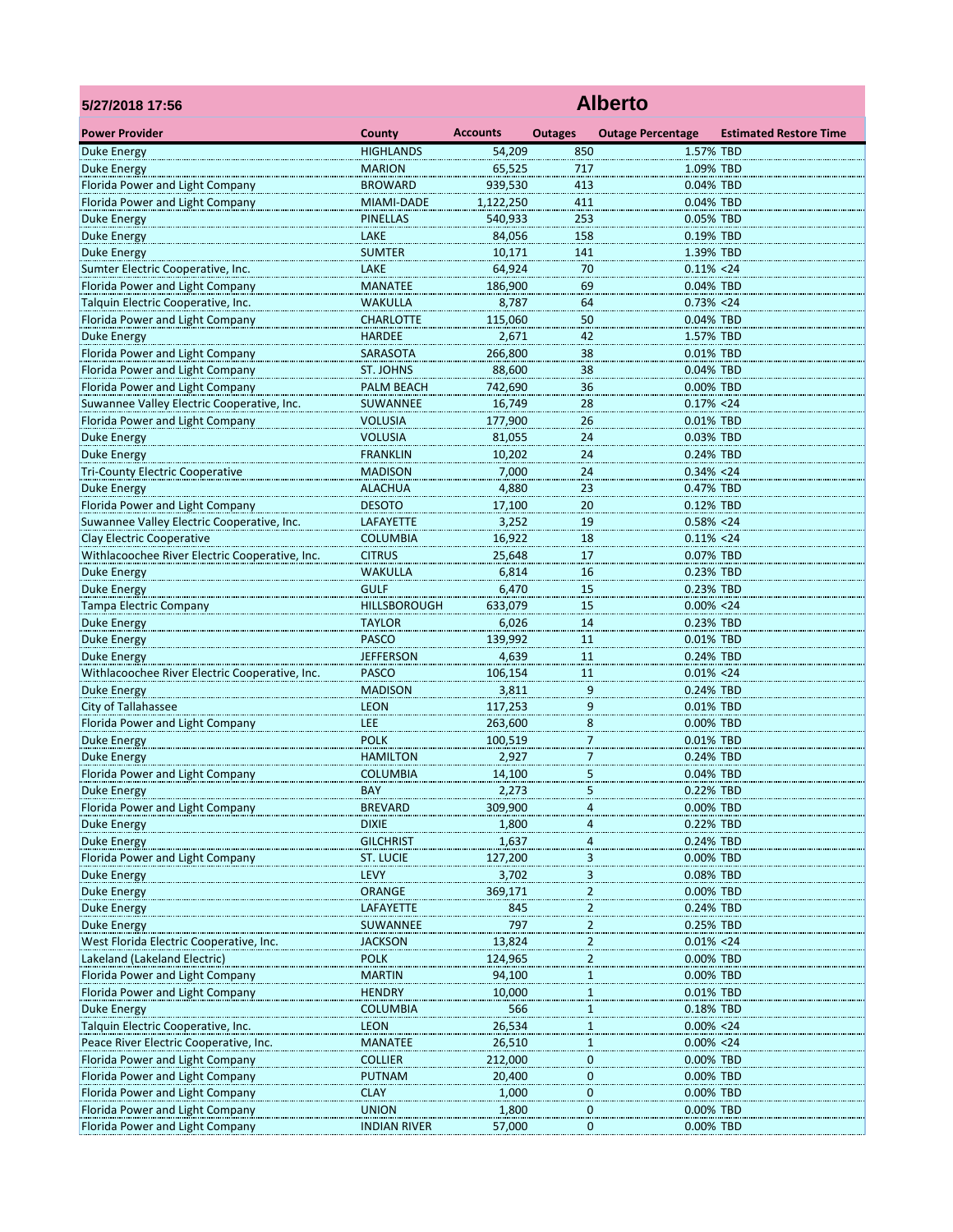| 5/27/2018 17:56                                                         | <b>Alberto</b>                 |                   |                              |                            |                               |  |  |  |
|-------------------------------------------------------------------------|--------------------------------|-------------------|------------------------------|----------------------------|-------------------------------|--|--|--|
| <b>Power Provider</b>                                                   | County                         | <b>Accounts</b>   | <b>Outages</b>               | <b>Outage Percentage</b>   | <b>Estimated Restore Time</b> |  |  |  |
| <b>Duke Energy</b>                                                      | <b>HIGHLANDS</b>               | 54,209            | 850                          | 1.57% TBD                  |                               |  |  |  |
| <b>Duke Energy</b>                                                      | <b>MARION</b>                  | 65,525            | 717                          | 1.09% TBD                  |                               |  |  |  |
| Florida Power and Light Company                                         | <b>BROWARD</b>                 | 939,530           | 413                          | 0.04% TBD                  |                               |  |  |  |
| Florida Power and Light Company                                         | MIAMI-DADE                     | 1,122,250         | 411                          | 0.04% TBD                  |                               |  |  |  |
| <b>Duke Energy</b>                                                      | <b>PINELLAS</b>                | 540,933           | 253                          | 0.05% TBD                  |                               |  |  |  |
| <b>Duke Energy</b>                                                      | LAKE                           | 84,056            | 158                          | 0.19% TBD                  |                               |  |  |  |
| <b>Duke Energy</b>                                                      | <b>SUMTER</b>                  | 10,171            | 141                          | 1.39% TBD                  |                               |  |  |  |
| Sumter Electric Cooperative, Inc.                                       | LAKE                           | 64,924            | 70                           | $0.11\% < 24$              |                               |  |  |  |
| Florida Power and Light Company                                         | <b>MANATEE</b>                 | 186,900           | 69                           | 0.04% TBD                  |                               |  |  |  |
| Talquin Electric Cooperative, Inc.                                      | WAKULLA                        | 8,787             | 64                           | $0.73\% < 24$              |                               |  |  |  |
| Florida Power and Light Company                                         | <b>CHARLOTTE</b>               | 115,060           | 50                           | 0.04% TBD                  |                               |  |  |  |
| <b>Duke Energy</b>                                                      | <b>HARDEE</b>                  | 2,671             | 42                           | 1.57% TBD                  |                               |  |  |  |
| Florida Power and Light Company                                         | SARASOTA                       | 266,800           | 38                           | 0.01% TBD                  |                               |  |  |  |
| Florida Power and Light Company<br>Florida Power and Light Company      | ST. JOHNS<br><b>PALM BEACH</b> | 88,600<br>742,690 | 38<br>36                     | 0.04% TBD<br>0.00% TBD     |                               |  |  |  |
| Suwannee Valley Electric Cooperative, Inc.                              | SUWANNEE                       | 16,749            |                              | 0.17% < 24                 |                               |  |  |  |
| Florida Power and Light Company                                         | <b>VOLUSIA</b>                 | 177,900           | 28<br>26                     | 0.01% TBD                  |                               |  |  |  |
| Duke Energy                                                             | <b>VOLUSIA</b>                 | 81,055            | 24                           | 0.03% TBD                  |                               |  |  |  |
| <b>Duke Energy</b>                                                      | <b>FRANKLIN</b>                | 10,202            | 24                           | 0.24% TBD                  |                               |  |  |  |
| <b>Tri-County Electric Cooperative</b>                                  | <b>MADISON</b>                 | 7,000             | 24                           | $0.34\% < 24$              |                               |  |  |  |
| <b>Duke Energy</b>                                                      | <b>ALACHUA</b>                 | 4,880             | 23                           | 0.47% TBD                  |                               |  |  |  |
| Florida Power and Light Company                                         | <b>DESOTO</b>                  | 17,100            | <b>20</b>                    | 0.12% TBD                  |                               |  |  |  |
| Suwannee Valley Electric Cooperative, Inc.                              | <b>LAFAYETTE</b>               | 3,252             | 19                           | $0.58\% < 24$              |                               |  |  |  |
| Clay Electric Cooperative                                               | <b>COLUMBIA</b>                | 16,922            | 18                           | $0.11\% < 24$              |                               |  |  |  |
| Withlacoochee River Electric Cooperative, Inc.                          | <b>CITRUS</b>                  | 25,648            | 17                           | 0.07% TBD                  |                               |  |  |  |
| <b>Duke Energy</b>                                                      | WAKULLA                        | 6,814             | 16                           | 0.23% TBD                  |                               |  |  |  |
| <b>Duke Energy</b>                                                      | <b>GULF</b>                    | 6,470             | 15                           | 0.23% TBD                  |                               |  |  |  |
| <b>Tampa Electric Company</b>                                           | <b>HILLSBOROUGH</b>            | 633,079           | 15                           | $0.00\% < 24$              |                               |  |  |  |
| Duke Energy                                                             | <b>TAYLOR</b>                  | 6,026             | 14                           | 0.23% TBD                  |                               |  |  |  |
| Duke Energy                                                             | <b>PASCO</b>                   | 139,992           | 11                           | 0.01% TBD                  |                               |  |  |  |
| <b>Duke Energy</b>                                                      | <b>JEFFERSON</b>               | 4,639             | 11                           | 0.24% TBD                  |                               |  |  |  |
| Withlacoochee River Electric Cooperative, Inc.                          | <b>PASCO</b>                   | 106,154           | 11                           | $0.01\% < 24$              |                               |  |  |  |
| <b>Duke Energy</b>                                                      | <b>MADISON</b>                 | 3,811             | 9                            | 0.24% TBD                  |                               |  |  |  |
| <b>City of Tallahassee</b>                                              | <b>LEON</b>                    | 117,253           | $\overline{9}$               | 0.01% TBD                  |                               |  |  |  |
| Florida Power and Light Company                                         | LEE                            | 263,600           | 8                            | 0.00% TBD                  |                               |  |  |  |
| <b>Duke Energy</b>                                                      | <b>POLK</b>                    | 100,519           | $\overline{1}$               | 0.01% TBD                  |                               |  |  |  |
| <b>Duke Energy</b>                                                      | <b>HAMILTON</b>                | 2,927             | $\overline{7}$               | 0.24% TBD                  |                               |  |  |  |
| Florida Power and Light Company                                         | <b>COLUMBIA</b>                | 14,100            | 5                            | 0.04% TBD                  |                               |  |  |  |
| <b>Duke Energy</b>                                                      | <b>BAY</b>                     | 2,273             | 5                            | 0.22% TBD                  |                               |  |  |  |
| Florida Power and Light Company                                         | <b>BREVARD</b>                 | 309,900           |                              | 0.00% TBD                  |                               |  |  |  |
| <b>Duke Energy</b>                                                      | <b>DIXIE</b>                   | 1,800             | 4                            | 0.22% TBD                  |                               |  |  |  |
| Duke Energy                                                             | <b>GILCHRIST</b>               | 1,637             | 4                            | 0.24% TBD                  |                               |  |  |  |
| Florida Power and Light Company                                         | <b>ST. LUCIE</b>               | 127,200           | $\overline{\mathbf{3}}$      | 0.00% TBD                  |                               |  |  |  |
| Duke Energy                                                             | LEVY                           | 3,702             | $\overline{\mathbf{3}}$      | 0.08% TBD                  |                               |  |  |  |
| Duke Energy                                                             | <b>ORANGE</b>                  | 369,171           | $\overline{a}$               | 0.00% TBD                  |                               |  |  |  |
| Duke Energy                                                             | LAFAYETTE                      | 845               | $\overline{\mathbf{c}}$      | 0.24% TBD                  |                               |  |  |  |
| Duke Energy                                                             | SUWANNEE                       | 797               | $\overline{a}$               | 0.25% TBD                  |                               |  |  |  |
| West Florida Electric Cooperative, Inc.<br>Lakeland (Lakeland Electric) | <b>JACKSON</b><br><b>POLK</b>  | 13,824<br>124,965 | $\overline{c}$               | $0.01\% < 24$<br>0.00% TBD |                               |  |  |  |
| Florida Power and Light Company                                         | <b>MARTIN</b>                  | 94,100            | $\overline{a}$<br>1          | 0.00% TBD                  |                               |  |  |  |
| Florida Power and Light Company                                         | <b>HENDRY</b>                  | 10,000            | 1                            | 0.01% TBD                  |                               |  |  |  |
| Duke Energy                                                             | <b>COLUMBIA</b>                | 566               |                              | 0.18% TBD                  |                               |  |  |  |
| Talquin Electric Cooperative, Inc.                                      | <b>LEON</b>                    | 26,534            | $\mathbf{1}$<br>$\mathbf{1}$ | $0.00\% < 24$              |                               |  |  |  |
| Peace River Electric Cooperative, Inc.                                  | <b>MANATEE</b>                 | 26,510            | $\mathbf{1}$                 | $0.00\% < 24$              |                               |  |  |  |
| Florida Power and Light Company                                         | <b>COLLIER</b>                 | 212,000           | $\boldsymbol{0}$             | 0.00% TBD                  |                               |  |  |  |
| Florida Power and Light Company                                         | <b>PUTNAM</b>                  | 20,400            | $\overline{0}$               | 0.00% TBD                  |                               |  |  |  |
| Florida Power and Light Company                                         | <b>CLAY</b>                    | 1,000             | $\bf{0}$                     | 0.00% TBD                  |                               |  |  |  |
| Florida Power and Light Company                                         | <b>UNION</b>                   | 1,800             | $\mathbf 0$                  | 0.00% TBD                  |                               |  |  |  |
| Florida Power and Light Company                                         | <b>INDIAN RIVER</b>            | 57,000            | 0                            | 0.00% TBD                  |                               |  |  |  |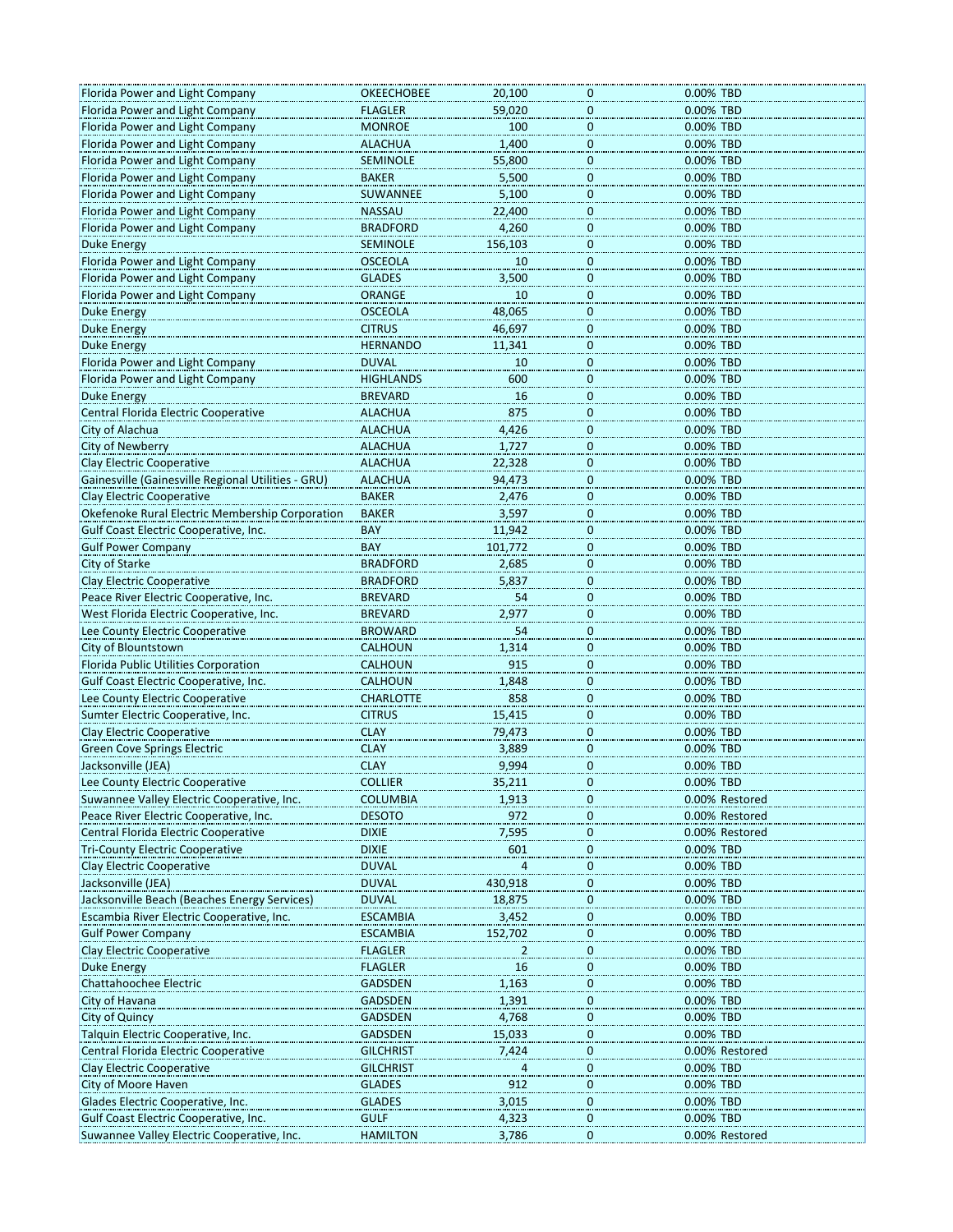| Florida Power and Light Company                                                                      | <b>OKEECHOBEE</b> | 20,100         | 0                       | 0.00% TBD      |
|------------------------------------------------------------------------------------------------------|-------------------|----------------|-------------------------|----------------|
| Florida Power and Light Company                                                                      | <b>FLAGLER</b>    | 59,020         | 0                       | 0.00% TBD      |
| Florida Power and Light Company                                                                      | <b>MONROE</b>     | 100            | $\overline{\mathbf{0}}$ | 0.00% TBD      |
| Florida Power and Light Company                                                                      | <b>ALACHUA</b>    | 1,400          | $\mathbf{0}$            | 0.00% TBD      |
| Florida Power and Light Company                                                                      | <b>SEMINOLE</b>   | 55,800         | $\pmb{0}$               | 0.00% TBD      |
| Florida Power and Light Company                                                                      | <b>BAKER</b>      | 5,500          | $\mathbf 0$             | 0.00% TBD      |
| Florida Power and Light Company                                                                      | SUWANNEE          | 5,100          | 0                       | 0.00% TBD      |
| Florida Power and Light Company                                                                      | <b>NASSAU</b>     | 22,400         | $\mathbf 0$             | 0.00% TBD      |
| Florida Power and Light Company                                                                      | <b>BRADFORD</b>   | 4,260          | $\mathbf 0$             | 0.00% TBD      |
|                                                                                                      |                   |                |                         |                |
| Duke Energy                                                                                          | <b>SEMINOLE</b>   | 156,103        | $\pmb{0}$               | 0.00% TBD      |
| Florida Power and Light Company                                                                      | <b>OSCEOLA</b>    | 10             | $\boldsymbol{0}$        | 0.00% TBD      |
| Florida Power and Light Company                                                                      | <b>GLADES</b>     | 3,500          | $\overline{0}$          | 0.00% TBD      |
| Florida Power and Light Company                                                                      | <b>ORANGE</b>     | 10             | $\overline{0}$          | 0.00% TBD      |
| Duke Energy                                                                                          | <b>OSCEOLA</b>    | 48,065         | $\mathbf 0$             | 0.00% TBD      |
| <b>Duke Energy</b>                                                                                   | <b>CITRUS</b>     | 46,697         | 0                       | 0.00% TBD      |
| Duke Energy                                                                                          | <b>HERNANDO</b>   | 11,341         | 0                       | 0.00% TBD      |
| Florida Power and Light Company                                                                      | <b>DUVAL</b>      | 10             | $\overline{0}$          | 0.00% TBD      |
| Florida Power and Light Company                                                                      | <b>HIGHLANDS</b>  | 600            | $\mathbf{0}$            | 0.00% TBD      |
| <b>Duke Energy</b>                                                                                   | <b>BREVARD</b>    | 16             | $\mathbf{0}$            | 0.00% TBD      |
| Central Florida Electric Cooperative                                                                 | <b>ALACHUA</b>    | 875            | 0                       | 0.00% TBD      |
| City of Alachua                                                                                      | <b>ALACHUA</b>    | 4,426          |                         | 0.00% TBD      |
| <b>City of Newberry</b>                                                                              | <b>ALACHUA</b>    |                | $\bf{0}$                | 0.00% TBD      |
|                                                                                                      |                   | 1,727          | $\overline{0}$          |                |
| <b>Clay Electric Cooperative</b>                                                                     | <b>ALACHUA</b>    | 22,328         | $\overline{0}$          | 0.00% TBD      |
| Gainesville (Gainesville Regional Utilities - GRU)                                                   | <b>ALACHUA</b>    | 94,473         | $\mathbf 0$             | 0.00% TBD      |
| Clay Electric Cooperative                                                                            | <b>BAKER</b>      | 2,476          | $\pmb{0}$               | 0.00% TBD      |
| Okefenoke Rural Electric Membership Corporation                                                      | <b>BAKER</b>      | 3,597          | $\bf{0}$                | 0.00% TBD      |
| Gulf Coast Electric Cooperative, Inc.                                                                | <b>BAY</b>        | 11,942         | $\boldsymbol{0}$        | 0.00% TBD      |
| <b>Gulf Power Company</b>                                                                            | <b>BAY</b>        | 101,772        | $\mathbf 0$             | 0.00% TBD      |
| City of Starke                                                                                       | <b>BRADFORD</b>   | 2,685          | $\mathbf{0}$            | 0.00% TBD      |
| Clay Electric Cooperative                                                                            | <b>BRADFORD</b>   | 5,837          | $\mathbf 0$             | 0.00% TBD      |
| Peace River Electric Cooperative, Inc.                                                               | <b>BREVARD</b>    | 54             | $\overline{0}$          | 0.00% TBD      |
| West Florida Electric Cooperative, Inc.                                                              | <b>BREVARD</b>    | 2,977          | $\overline{0}$          | 0.00% TBD      |
| Lee County Electric Cooperative                                                                      | <b>BROWARD</b>    | 54             | $\overline{0}$          | 0.00% TBD      |
| City of Blountstown                                                                                  | <b>CALHOUN</b>    | 1,314          | $\mathbf 0$             | 0.00% TBD      |
| Florida Public Utilities Corporation                                                                 | CALHOUN           | 915            | 0                       | 0.00% TBD      |
| Gulf Coast Electric Cooperative, Inc.                                                                | CALHOUN           | 1,848          | 0                       | 0.00% TBD      |
| Lee County Electric Cooperative                                                                      | <b>CHARLOTTE</b>  | 858            |                         | 0.00% TBD      |
|                                                                                                      |                   |                | $\overline{0}$          |                |
| Sumter Electric Cooperative, Inc.                                                                    | <b>CITRUS</b>     | 15,415         | $\overline{0}$          | 0.00% TBD      |
| Clay Electric Cooperative                                                                            | <b>CLAY</b>       | 79,473         | $\mathbf{0}$            | 0.00% TBD      |
| <b>Green Cove Springs Electric</b>                                                                   | <b>CLAY</b>       | 3,889          | 0                       | 0.00% TBD      |
| Jacksonville (JEA)                                                                                   | <b>CLAY</b>       | 9,994          | 0                       | 0.00% TBD      |
| Lee County Electric Cooperative                                                                      | <b>COLLIER</b>    | 35,211         | Ü                       | 0.00% TBD      |
| Suwannee Valley Electric Cooperative, Inc.                                                           | <b>COLUMBIA</b>   | 1,913          | $\overline{0}$          | 0.00% Restored |
| Peace River Electric Cooperative, Inc.                                                               | <b>DESOTO</b>     | 972            | $\mathbf 0$             | 0.00% Restored |
| Central Florida Electric Cooperative                                                                 | <b>DIXIE</b>      | 7,595          | 0                       | 0.00% Restored |
| <b>Tri-County Electric Cooperative</b>                                                               | <b>DIXIE</b>      | 601            | 0                       | 0.00% TBD      |
| Clay Electric Cooperative                                                                            | <b>DUVAL</b>      |                | $\overline{0}$          | 0.00% TBD      |
| Jacksonville (JEA)                                                                                   | <b>DUVAL</b>      | 430,918        | $\overline{0}$          | 0.00% TBD      |
| Jacksonville Beach (Beaches Energy Services)                                                         | <b>DUVAL</b>      | 18,875         | $\boldsymbol{0}$        | 0.00% TBD      |
| Escambia River Electric Cooperative, Inc.                                                            | <b>ESCAMBIA</b>   | 3,452          | 0                       | 0.00% TBD      |
| <b>Gulf Power Company</b>                                                                            | <b>ESCAMBIA</b>   | 152,702        | 0                       | 0.00% TBD      |
| <b>Clay Electric Cooperative</b>                                                                     |                   |                |                         |                |
|                                                                                                      | <b>FLAGLER</b>    | $\overline{a}$ | $\overline{0}$          | 0.00% TBD      |
|                                                                                                      |                   |                |                         |                |
| Duke Energy                                                                                          | <b>FLAGLER</b>    | $16\,$         | $\overline{\mathbf{0}}$ | 0.00% TBD      |
|                                                                                                      | <b>GADSDEN</b>    | 1,163          | $\boldsymbol{0}$        | 0.00% TBD      |
|                                                                                                      | <b>GADSDEN</b>    | 1,391          | 0                       | 0.00% TBD      |
|                                                                                                      | <b>GADSDEN</b>    | 4,768          | $\overline{0}$          | 0.00% TBD      |
|                                                                                                      | <b>GADSDEN</b>    | 15,033         | 0                       | 0.00% TBD      |
|                                                                                                      | <b>GILCHRIST</b>  | 7,424          | 0                       | 0.00% Restored |
| Chattahoochee Electric<br>Talquin Electric Cooperative, Inc.<br>Central Florida Electric Cooperative | <b>GILCHRIST</b>  | 4              | 0                       | 0.00% TBD      |
| City of Quincy<br>Clay Electric Cooperative<br>City of Moore Haven                                   | <b>GLADES</b>     | 912            | 0                       | 0.00% TBD      |
| City of Havana<br>Glades Electric Cooperative, Inc.                                                  | <b>GLADES</b>     | 3,015          | 0                       | 0.00% TBD      |
| Gulf Coast Electric Cooperative, Inc.                                                                | <b>GULF</b>       | 4,323          | $\overline{0}$          | 0.00% TBD      |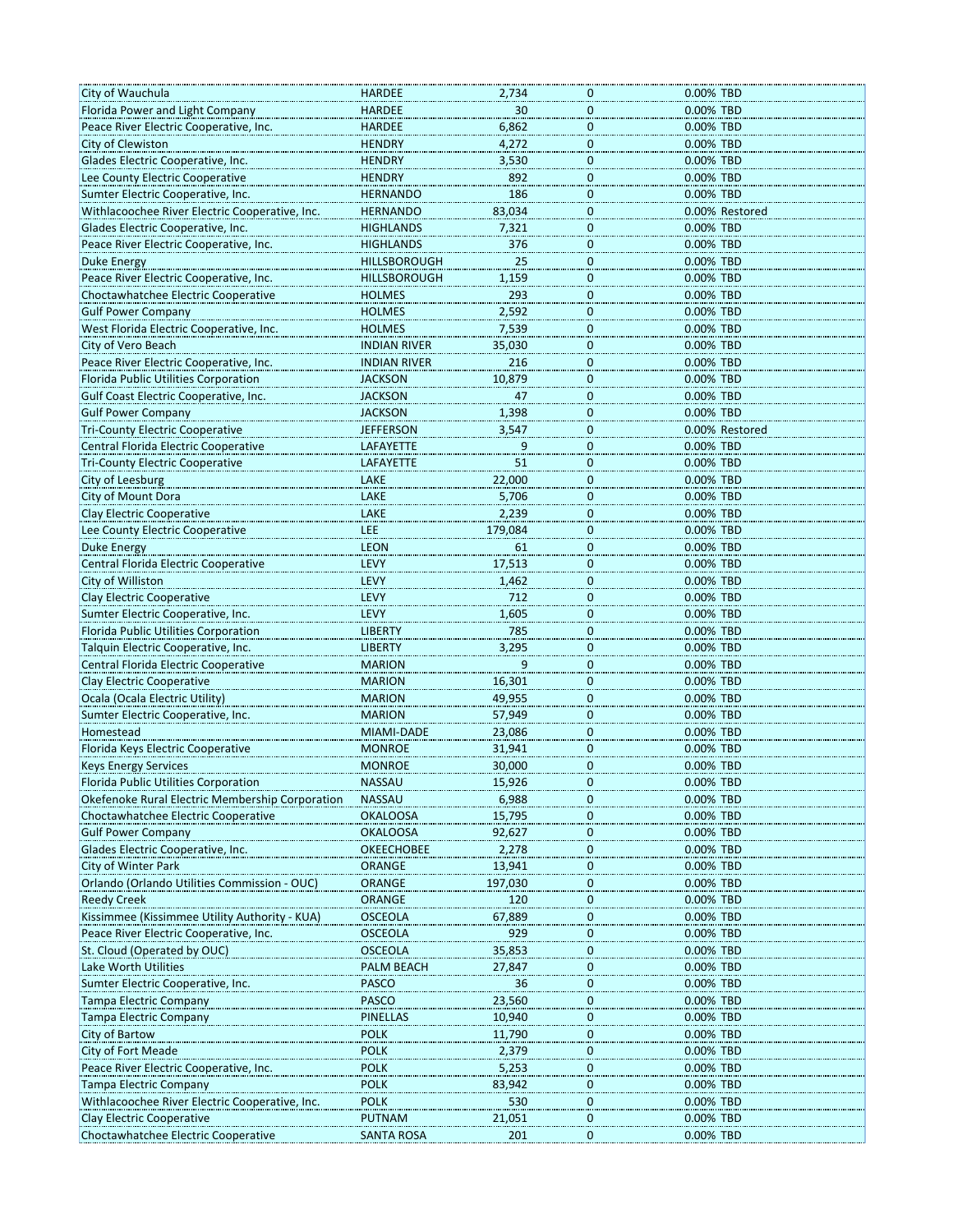| City of Wauchula                                | <b>HARDEE</b>       | 2,734   | 0                           | 0.00% TBD      |
|-------------------------------------------------|---------------------|---------|-----------------------------|----------------|
| Florida Power and Light Company                 | <b>HARDEE</b>       | 30      | $\boldsymbol{0}$            | 0.00% TBD      |
| Peace River Electric Cooperative, Inc.          | <b>HARDEE</b>       | 6,862   |                             | 0.00% TBD      |
| City of Clewiston                               | <b>HENDRY</b>       | 4,272   | $\overline{0}$<br>$\pmb{0}$ | 0.00% TBD      |
|                                                 |                     | 3,530   |                             |                |
| Glades Electric Cooperative, Inc.               | <b>HENDRY</b>       |         | $\overline{0}$              | 0.00% TBD      |
| Lee County Electric Cooperative                 | <b>HENDRY</b>       | 892     | $\mathbf 0$                 | 0.00% TBD      |
| Sumter Electric Cooperative, Inc.               | <b>HERNANDO</b>     | 186     | $\bf{0}$                    | 0.00% TBD      |
| Withlacoochee River Electric Cooperative, Inc.  | <b>HERNANDO</b>     | 83,034  | $\overline{0}$              | 0.00% Restored |
| Glades Electric Cooperative, Inc.               | <b>HIGHLANDS</b>    | 7,321   | $\pmb{0}$                   | 0.00% TBD      |
| Peace River Electric Cooperative, Inc.          | <b>HIGHLANDS</b>    | 376     | $\boldsymbol{0}$            | 0.00% TBD      |
| <b>Duke Energy</b>                              | <b>HILLSBOROUGH</b> | 25      | $\boldsymbol{0}$            | 0.00% TBD      |
| Peace River Electric Cooperative, Inc.          | <b>HILLSBOROUGH</b> | 1,159   | $\boldsymbol{0}$            | 0.00% TBD      |
| Choctawhatchee Electric Cooperative             | <b>HOLMES</b>       | 293     | $\overline{0}$              | 0.00% TBD      |
| <b>Gulf Power Company</b>                       | <b>HOLMES</b>       | 2,592   | $\pmb{0}$                   | 0.00% TBD      |
| West Florida Electric Cooperative, Inc.         | <b>HOLMES</b>       | 7,539   | $\bf{0}$                    | 0.00% TBD      |
| City of Vero Beach                              | <b>INDIAN RIVER</b> | 35,030  | $\bf{0}$                    | 0.00% TBD      |
| Peace River Electric Cooperative, Inc.          | INDIAN RIVER        | 216     | $\bf{0}$                    | 0.00% TBD      |
| Florida Public Utilities Corporation            | <b>JACKSON</b>      | 10,879  | $\overline{0}$              | 0.00% TBD      |
| Gulf Coast Electric Cooperative, Inc.           | <b>JACKSON</b>      | 47      | $\pmb{0}$                   | 0.00% TBD      |
| <b>Gulf Power Company</b>                       | <b>JACKSON</b>      | 1,398   | $\bf{0}$                    | 0.00% TBD      |
| <b>Tri-County Electric Cooperative</b>          | <b>JEFFERSON</b>    | 3,547   |                             | 0.00% Restored |
| Central Florida Electric Cooperative            |                     |         | $\bf{0}$                    |                |
|                                                 | LAFAYETTE           | $^{9}$  | $\bf{0}$                    | 0.00% TBD      |
| <b>Tri-County Electric Cooperative</b>          | LAFAYETTE           | 51      | $\overline{0}$              | 0.00% TBD      |
| City of Leesburg                                | LAKE                | 22,000  | $\bf 0$                     | 0.00% TBD      |
| City of Mount Dora                              | LAKE                | 5,706   | $\bf{0}$                    | 0.00% TBD      |
| Clay Electric Cooperative                       | LAKE                | 2,239   | $\bf{0}$                    | 0.00% TBD      |
| Lee County Electric Cooperative                 | <b>LEE</b>          | 179,084 | $\bf{0}$                    | 0.00% TBD      |
| <b>Duke Energy</b>                              | <b>LEON</b>         | 61      | $\overline{0}$              | 0.00% TBD      |
| Central Florida Electric Cooperative            | LEVY                | 17,513  | $\pmb{0}$                   | 0.00% TBD      |
| City of Williston                               | LEVY                | 1,462   | $\overline{0}$              | 0.00% TBD      |
| Clay Electric Cooperative                       | LEVY                | 712     | $\overline{0}$              | 0.00% TBD      |
| Sumter Electric Cooperative, Inc.               | LEVY                | 1,605   | $\bf{0}$                    | 0.00% TBD      |
| Florida Public Utilities Corporation            | <b>LIBERTY</b>      | 785     | $\overline{0}$              | 0.00% TBD      |
| Talquin Electric Cooperative, Inc.              | <b>LIBERTY</b>      | 3,295   | $\bf 0$                     | 0.00% TBD      |
| Central Florida Electric Cooperative            | <b>MARION</b>       | 9       | $\overline{0}$              | 0.00% TBD      |
| <b>Clay Electric Cooperative</b>                | <b>MARION</b>       | 16,301  | 0                           | 0.00% TBD      |
| Ocala (Ocala Electric Utility)                  | <b>MARION</b>       | 49,955  |                             | 0.00% TBD      |
|                                                 |                     |         | $\bf{0}$                    |                |
| Sumter Electric Cooperative, Inc.               | <b>MARION</b>       | 57,949  | $\overline{0}$              | 0.00% TBD      |
| Homestead                                       | MIAMI-DADE          | 23,086  | $\pmb{0}$                   | 0.00% TBD      |
| Florida Keys Electric Cooperative               | <b>MONROE</b>       | 31,941  | 0                           | 0.00% TBD      |
| <b>Keys Energy Services</b>                     | <b>MONROE</b>       | 30,000  | 0                           | 0.00% TBD      |
| Florida Public Utilities Corporation            | <b>NASSAU</b>       | 15,926  | 0                           | 0.00% TBD      |
| Okefenoke Rural Electric Membership Corporation | <b>NASSAU</b>       | 6,988   | $\bf{0}$                    | 0.00% TBD      |
| Choctawhatchee Electric Cooperative             | <b>OKALOOSA</b>     | 15,795  | $\overline{0}$              | 0.00% TBD      |
| <b>Gulf Power Company</b>                       | <b>OKALOOSA</b>     | 92,627  | $\bf{0}$                    | 0.00% TBD      |
| Glades Electric Cooperative, Inc.               | <b>OKEECHOBEE</b>   | 2,278   | 0                           | 0.00% TBD      |
| City of Winter Park                             | ORANGE              | 13,941  | $\bf{0}$                    | 0.00% TBD      |
| Orlando (Orlando Utilities Commission - OUC)    | <b>ORANGE</b>       | 197,030 | $\overline{0}$              | 0.00% TBD      |
| <b>Reedy Creek</b>                              | <b>ORANGE</b>       | 120     | $\boldsymbol{0}$            | 0.00% TBD      |
| Kissimmee (Kissimmee Utility Authority - KUA)   | <b>OSCEOLA</b>      | 67,889  | $\overline{0}$              | 0.00% TBD      |
| Peace River Electric Cooperative, Inc.          | <b>OSCEOLA</b>      | 929     | $\mathbf 0$                 | 0.00% TBD      |
| St. Cloud (Operated by OUC)                     | <b>OSCEOLA</b>      | 35,853  | 0                           | 0.00% TBD      |
| Lake Worth Utilities                            | PALM BEACH          | 27,847  | $\boldsymbol{0}$            | 0.00% TBD      |
| Sumter Electric Cooperative, Inc.               | <b>PASCO</b>        | 36      |                             | 0.00% TBD      |
| <b>Tampa Electric Company</b>                   | PASCO               | 23,560  | $\boldsymbol{0}$            | 0.00% TBD      |
|                                                 |                     |         | $\bf{0}$                    |                |
| <b>Tampa Electric Company</b>                   | <b>PINELLAS</b>     | 10,940  | 0                           | 0.00% TBD      |
| City of Bartow                                  | <b>POLK</b>         | 11,790  | $\bf{0}$                    | 0.00% TBD      |
| City of Fort Meade                              | <b>POLK</b>         | 2,379   | $\overline{0}$              | 0.00% TBD      |
| Peace River Electric Cooperative, Inc.          | <b>POLK</b>         | 5,253   | $\overline{0}$              | 0.00% TBD      |
| <b>Tampa Electric Company</b>                   | <b>POLK</b>         | 83,942  | $\bf{0}$                    | 0.00% TBD      |
| Withlacoochee River Electric Cooperative, Inc.  | <b>POLK</b>         | 530     | 0                           | 0.00% TBD      |
| Clay Electric Cooperative                       | <b>PUTNAM</b>       | 21,051  | 0                           | 0.00% TBD      |
| Choctawhatchee Electric Cooperative             | <b>SANTA ROSA</b>   | 201     | 0                           | 0.00% TBD      |